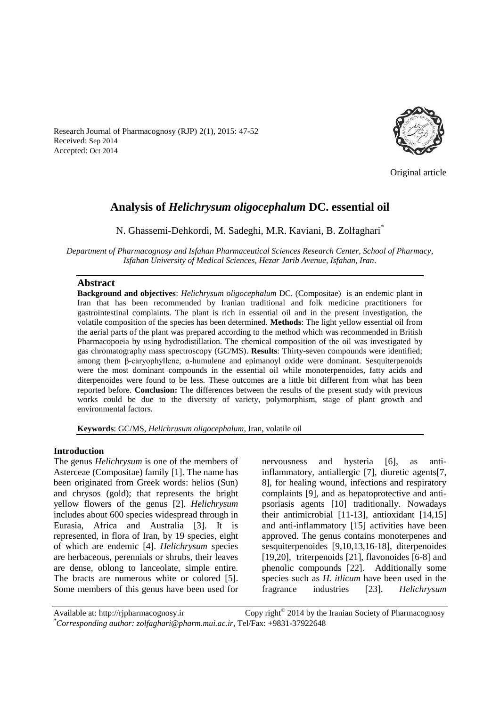Original article

# **Analysis of** *Helichrysum oligocephalum* **DC. essential oil**

N. [Ghassemi-Dehkordi,](http://www.advbiores.net/searchresult.asp?search=&author=Nasrollah+Ghassemi%2DDehkordi&journal=Y&but_search=Search&entries=10&pg=1&s=0) M. Sadeghi, M.R. Kaviani, B. Zolfaghari\*

*Department of Pharmacognosy and Isfahan Pharmaceutical Sciences Research Center, School of Pharmacy, Isfahan University of Medical Sciences, Hezar Jarib Avenue, Isfahan, Iran.*

### **Abstract**

**Background and objectives**: *Helichrysum oligocephalum* DC. (Compositae) is an endemic plant in Iran that has been recommended by Iranian traditional and folk medicine practitioners for gastrointestinal complaints. The plant is rich in essential oil and in the present investigation, the volatile composition of the species has been determined. **Methods**: The light yellow essential oil from the aerial parts of the plant was prepared according to the method which was recommended in British Pharmacopoeia by using hydrodistillation. The chemical composition of the oil was investigated by gas chromatography mass spectroscopy (GC/MS). **Results**: Thirty-seven compounds were identified; among them β-caryophyllene, α-humulene and epimanoyl oxide were dominant. Sesquiterpenoids were the most dominant compounds in the essential oil while monoterpenoides, fatty acids and diterpenoides were found to be less. These outcomes are a little bit different from what has been reported before. **Conclusion:** The differences between the results of the present study with previous works could be due to the diversity of variety, polymorphism, stage of plant growth and environmental factors.

**Keywords**: GC/MS, *Helichrusum oligocephalum*, Iran, volatile oil

#### **Introduction**

The genus *Helichrysum* is one of the members of Asterceae (Compositae) family [1]. The name has been originated from Greek words: helios (Sun) and chrysos (gold); that represents the bright yellow flowers of the genus [2]. *Helichrysum* includes about 600 species widespread through in Eurasia, Africa and Australia [3]. It is represented, in flora of Iran, by 19 species, eight of which are endemic [4]. *Helichrysum* species are herbaceous, perennials or shrubs, their leaves are dense, oblong to lanceolate, simple entire. The bracts are numerous white or colored [5]. Some members of this genus have been used for

nervousness and hysteria [6], as antiinflammatory, antiallergic [7], diuretic agents[7, 8], for healing wound, infections and respiratory complaints [9], and as hepatoprotective and antipsoriasis agents [10] traditionally. Nowadays their antimicrobial [11-13], antioxidant [14,15] and anti-inflammatory [15] activities have been approved. The genus contains monoterpenes and sesquiterpenoides [9,10,13,16-18], diterpenoides [19,20], triterpenoids [21], flavonoides [6-8] and phenolic compounds [22]. Additionally some species such as *H. itlicum* have been used in the fragrance industries [23]. *Helichrysum* 

Available at: http://ripharmacognosy.ir Copy right $^{\circ}$  2014 by the Iranian Society of Pharmacognosy *\*Corresponding author: zolfaghari@pharm.mui.ac.ir,* Tel/Fax: +9831-37922648

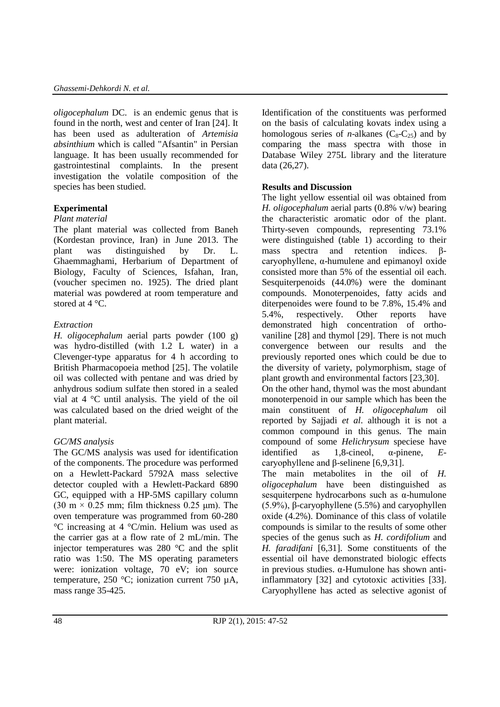*oligocephalum* DC. is an endemic genus that is found in the north, west and center of Iran [24]. It has been used as adulteration of *Artemisia absinthium* which is called "Afsantin" in Persian language. It has been usually recommended for gastrointestinal complaints. In the present investigation the volatile composition of the species has been studied.

# **Experimental**

### *Plant material*

The plant material was collected from Baneh (Kordestan province, Iran) in June 2013. The plant was distinguished by Dr. L. Ghaemmaghami, Herbarium of Department of Biology, Faculty of Sciences, Isfahan, Iran, (voucher specimen no. 1925). The dried plant material was powdered at room temperature and stored at 4 °C.

# *Extraction*

*H. oligocephalum* aerial parts powder (100 g) was hydro-distilled (with 1.2 L water) in a Clevenger-type apparatus for 4 h according to British Pharmacopoeia method [25]. The volatile oil was collected with pentane and was dried by anhydrous sodium sulfate then stored in a sealed vial at 4 °C until analysis. The yield of the oil was calculated based on the dried weight of the plant material.

### *GC/MS analysis*

The GC/MS analysis was used for identification of the components. The procedure was performed on a Hewlett-Packard 5792A mass selective detector coupled with a Hewlett-Packard 6890 GC, equipped with a HP-5MS capillary column (30 m  $\times$  0.25 mm; film thickness 0.25 µm). The oven temperature was programmed from 60-280 °C increasing at 4 °C/min. Helium was used as the carrier gas at a flow rate of 2 mL/min. The injector temperatures was 280 °C and the split ratio was 1:50. The MS operating parameters were: ionization voltage, 70 eV; ion source temperature, 250 °C; ionization current 750 µA, mass range 35-425.

Identification of the constituents was performed on the basis of calculating kovats index using a homologous series of *n*-alkanes  $(C_8-C_25)$  and by comparing the mass spectra with those in Database Wiley 275L library and the literature data (26,27).

# **Results and Discussion**

The light yellow essential oil was obtained from *H. oligocephalum* aerial parts (0.8% v/w) bearing the characteristic aromatic odor of the plant. Thirty-seven compounds, representing 73.1% were distinguished (table 1) according to their mass spectra and retention indices. βcaryophyllene, α-humulene and epimanoyl oxide consisted more than 5% of the essential oil each. Sesquiterpenoids (44.0%) were the dominant compounds. Monoterpenoides, fatty acids and diterpenoides were found to be 7.8%, 15.4% and 5.4%, respectively. Other reports have demonstrated high concentration of orthovaniline [28] and thymol [29]. There is not much convergence between our results and the previously reported ones which could be due to the diversity of variety, polymorphism, stage of plant growth and environmental factors [23,30]. On the other hand, thymol was the most abundant monoterpenoid in our sample which has been the main constituent of *H. oligocephalum* oil reported by Sajjadi *et al*. although it is not a common compound in this genus. The main compound of some *Helichrysum* speciese have identified as 1,8-cineol, α-pinene, *E*-

caryophyllene and β-selinene [6,9,31]. The main metabolites in the oil of *H. oligocephalum* have been distinguished as sesquiterpene hydrocarbons such as α-humulone (5.9%), β-caryophyllene (5.5%) and caryophyllen oxide (4.2%). Dominance of this class of volatile compounds is similar to the results of some other species of the genus such as *H. cordifolium* and *H. faradifani* [6,31]. Some constituents of the essential oil have demonstrated biologic effects in previous studies. α-Humulone has shown antiinflammatory [32] and cytotoxic activities [33]. Caryophyllene has acted as selective agonist of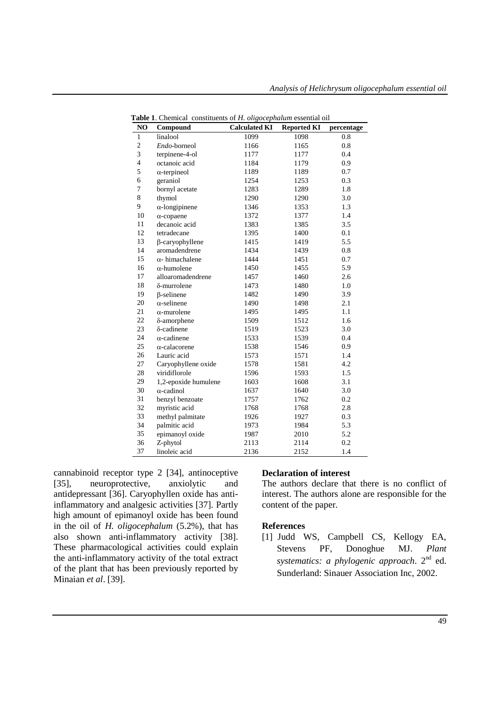| NO                       | Compound               | <b>Calculated KI</b> | <b>Reported KI</b> | percentage |
|--------------------------|------------------------|----------------------|--------------------|------------|
| $\mathbf{1}$             | linalool               | 1099                 | 1098               | 0.8        |
| $\overline{2}$           | Endo-borneol           | 1166                 | 1165               | 0.8        |
| 3                        | terpinene-4-ol         | 1177                 | 1177               | 0.4        |
| $\overline{\mathcal{L}}$ | octanoic acid          | 1184                 | 1179               | 0.9        |
| 5                        | $\alpha$ -terpineol    | 1189                 | 1189               | 0.7        |
| 6                        | geraniol               | 1254                 | 1253               | 0.3        |
| 7                        | bornyl acetate         | 1283                 | 1289               | 1.8        |
| 8                        | thymol                 | 1290                 | 1290               | 3.0        |
| 9                        | $\alpha$ -longipinene  | 1346                 | 1353               | 1.3        |
| 10                       | $\alpha$ -copaene      | 1372                 | 1377               | 1.4        |
| 11                       | decanoic acid          | 1383                 | 1385               | 3.5        |
| 12                       | tetradecane            | 1395                 | 1400               | 0.1        |
| 13                       | β-caryophyllene        | 1415                 | 1419               | 5.5        |
| 14                       | aromadendrene          | 1434                 | 1439               | 0.8        |
| 15                       | $\alpha$ - himachalene | 1444                 | 1451               | 0.7        |
| 16                       | $\alpha$ -humolene     | 1450                 | 1455               | 5.9        |
| 17                       | alloaromadendrene      | 1457                 | 1460               | 2.6        |
| 18                       | $\delta$ -murrolene    | 1473                 | 1480               | 1.0        |
| 19                       | $\beta$ -selinene      | 1482                 | 1490               | 3.9        |
| 20                       | $\alpha$ -selinene     | 1490                 | 1498               | 2.1        |
| 21                       | $\alpha$ -murolene     | 1495                 | 1495               | 1.1        |
| 22                       | δ-amorphene            | 1509                 | 1512               | 1.6        |
| 23                       | δ-cadinene             | 1519                 | 1523               | 3.0        |
| 24                       | $\alpha$ -cadinene     | 1533                 | 1539               | 0.4        |
| 25                       | $\alpha$ -calacorene   | 1538                 | 1546               | 0.9        |
| 26                       | Lauric acid            | 1573                 | 1571               | 1.4        |
| 27                       | Caryophyllene oxide    | 1578                 | 1581               | 4.2        |
| 28                       | viridiflorole          | 1596                 | 1593               | 1.5        |
| 29                       | 1,2-epoxide humulene   | 1603                 | 1608               | 3.1        |
| 30                       | $\alpha$ -cadinol      | 1637                 | 1640               | 3.0        |
| 31                       | benzyl benzoate        | 1757                 | 1762               | 0.2        |
| 32                       | myristic acid          | 1768                 | 1768               | 2.8        |
| 33                       | methyl palmitate       | 1926                 | 1927               | 0.3        |
| 34                       | palmitic acid          | 1973                 | 1984               | 5.3        |
| 35                       | epimanoyl oxide        | 1987                 | 2010               | 5.2        |
| 36                       | Z-phytol               | 2113                 | 2114               | 0.2        |
| 37                       | linoleic acid          | 2136                 | 2152               | 1.4        |

**Table 1**. Chemical constituents of *H. oligocephalum* essential oil

cannabinoid receptor type 2 [34], antinoceptive [35], neuroprotective, anxiolytic and antidepressant [36]. Caryophyllen oxide has antiinflammatory and analgesic activities [37]. Partly high amount of epimanoyl oxide has been found in the oil of *H. oligocephalum* (5.2%), that has also shown anti-inflammatory activity [38]. These pharmacological activities could explain the anti-inflammatory activity of the total extract of the plant that has been previously reported by Minaian *et al*. [39].

### **Declaration of interest**

The authors declare that there is no conflict of interest. The authors alone are responsible for the content of the paper.

#### **References**

[1] Judd WS, Campbell CS, Kellogy EA, Stevens PF, Donoghue MJ. *Plant systematics: a phylogenic approach*. 2nd ed. Sunderland: Sinauer Association Inc, 2002.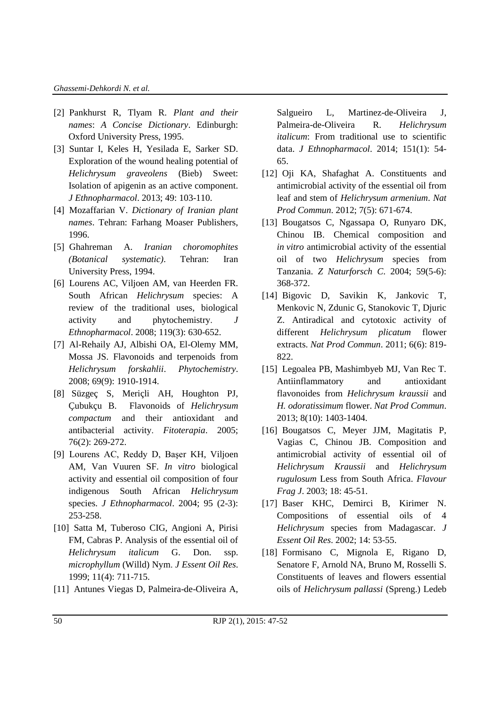#### *Ghassemi-Dehkordi N. et al.*

- [2] Pankhurst R, Tlyam R. *Plant and their names*: *A Concise Dictionary*. Edinburgh: Oxford University Press, 1995.
- [3] Suntar I, Keles H, Yesilada E, Sarker SD. Exploration of the wound healing potential of *Helichrysum graveolens* (Bieb) Sweet: Isolation of apigenin as an active component. *J Ethnopharmacol*. 2013; 49: 103-110.
- [4] Mozaffarian V. *Dictionary of Iranian plant names*. Tehran: Farhang Moaser Publishers, 1996.
- [5] Ghahreman A. *Iranian choromophites (Botanical systematic)*. Tehran: Iran University Press, 1994.
- [6] Lourens AC, Viljoen AM, van Heerden FR. South African *Helichrysum* species: A review of the traditional uses, biological activity and phytochemistry. *J Ethnopharmacol*. 2008; 119(3): 630-652.
- [7] Al-Rehaily AJ, Albishi OA, El-Olemy MM, Mossa JS. Flavonoids and terpenoids from *Helichrysum forskahlii*. *Phytochemistry*. 2008; 69(9): 1910-1914.
- [8] Süzgeç S, Meriçli AH, Houghton PJ, Çubukçu B. Flavonoids of *Helichrysum compactum* and their antioxidant and antibacterial activity. *Fitoterapia*. 2005; 76(2): 269-272.
- [9] Lourens AC, Reddy D, Başer KH, Viljoen AM, Van Vuuren SF. *In vitro* biological activity and essential oil composition of four indigenous South African *Helichrysum* species. *J Ethnopharmacol*. 2004; 95 (2-3): 253-258.
- [10] Satta M, Tuberoso CIG, Angioni A, Pirisi FM, Cabras P. Analysis of the essential oil of *Helichrysum italicum* G. Don. ssp. *microphyllum* (Willd) Nym. *J Essent Oil Res*. 1999; 11(4): 711-715.
- [11] Antunes Viegas D, Palmeira-de-Oliveira A,

Salgueiro L, Martinez-de-Oliveira J, Palmeira-de-Oliveira R. *Helichrysum italicum*: From traditional use to scientific data. *J Ethnopharmacol*. 2014; 151(1): 54- 65.

- [12] Oji KA, Shafaghat A. Constituents and antimicrobial activity of the essential oil from leaf and stem of *Helichrysum armenium*. *Nat Prod Commun*. 2012; 7(5): 671-674.
- [13] Bougatsos C, Ngassapa O, Runyaro DK, Chinou IB. Chemical composition and *in vitro* antimicrobial activity of the essential oil of two *Helichrysum* species from Tanzania. *Z Naturforsch C*. 2004; 59(5-6): 368-372.
- [14] Bigovic D, Savikin K, Jankovic T, Menkovic N, Zdunic G, Stanokovic T, Djuric Z. Antiradical and cytotoxic activity of different *Helichrysum plicatum* flower extracts. *Nat Prod Commun*. 2011; 6(6): 819- 822.
- [15] Legoalea PB, Mashimbyeb MJ, Van Rec T. Antiinflammatory and antioxidant flavonoides from *Helichrysum kraussii* and *H. odoratissimum* flower. *Nat Prod Commun*. 2013; 8(10): 1403-1404.
- [16] Bougatsos C, Meyer JJM, Magitatis P, Vagias C, Chinou JB. Composition and antimicrobial activity of essential oil of *Helichrysum Kraussii* and *Helichrysum rugulosum* Less from South Africa. *Flavour Frag J*. 2003; 18: 45-51.
- [17] Baser KHC, Demirci B, Kirimer N. Compositions of essential oils of 4 *Helichrysum* species from Madagascar. *J Essent Oil Res*. 2002; 14: 53-55.
- [18] Formisano C, Mignola E, Rigano D, Senatore F, Arnold NA, [Bruno M,](http://www.ncbi.nlm.nih.gov/pubmed?term=Bruno%20M%5BAuthor%5D&cauthor=true&cauthor_uid=19298217) [Rosselli S.](http://www.ncbi.nlm.nih.gov/pubmed?term=Rosselli%20S%5BAuthor%5D&cauthor=true&cauthor_uid=19298217) Constituents of leaves and flowers essential oils of *Helichrysum pallassi* (Spreng.) Ledeb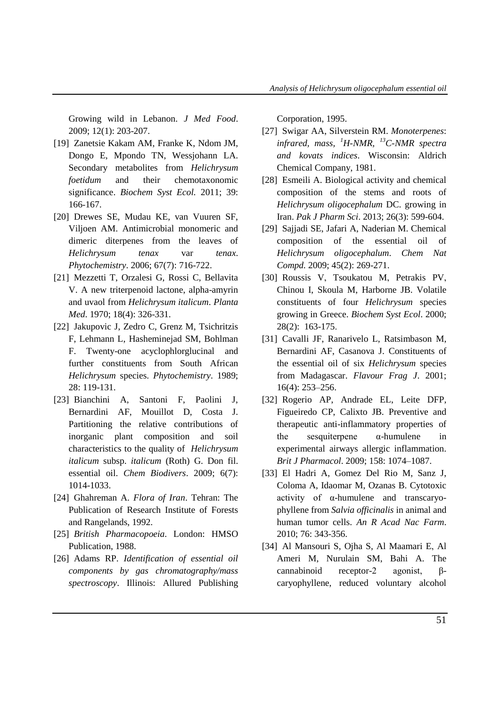Growing wild in Lebanon. *J Med Food*. 2009; 12(1): 203-207.

- [19] Zanetsie Kakam AM, Franke K, Ndom JM, Dongo E, Mpondo TN, Wessjohann LA. Secondary metabolites from *Helichrysum foetidum* and their chemotaxonomic significance. *Biochem Syst Ecol.* 2011; 39: 166-167.
- [20] Drewes SE, Mudau KE, van Vuuren SF, Viljoen AM. Antimicrobial monomeric and dimeric diterpenes from the leaves of *Helichrysum tenax* var *tenax*. *Phytochemistry*. 2006; 67(7): 716-722.
- [21] Mezzetti T, Orzalesi G, Rossi C, Bellavita V. A new triterpenoid lactone, alpha-amyrin and uvaol from *Helichrysum italicum*. *Planta Med*. 1970; 18(4): 326-331.
- [22] Jakupovic J, Zedro C, Grenz M, Tsichritzis F, Lehmann L, Hasheminejad SM, Bohlman F. Twenty-one acyclophlorglucinal and further constituents from South African *Helichrysum* species. *Phytochemistry*. 1989; 28: 119-131.
- [23] Bianchini A, Santoni F, Paolini J, Bernardini AF, Mouillot D, Costa J. Partitioning the relative contributions of inorganic plant composition and soil characteristics to the quality of *Helichrysum italicum* subsp. *italicum* (Roth) G. Don fil. essential oil. *Chem Biodivers*. 2009; 6(7): 1014-1033.
- [24] Ghahreman A. *Flora of Iran*. Tehran: The Publication of Research Institute of Forests and Rangelands, 1992.
- [25] *British Pharmacopoeia*. London: HMSO Publication, 1988.
- [26] Adams RP. *Identification of essential oil components by gas chromatography/mass spectroscopy*. Illinois: Allured Publishing

Corporation, 1995.

- [27] Swigar AA, Silverstein RM. *Monoterpenes*: *infrared, mass, <sup>1</sup>H-NMR, <sup>13</sup>C-NMR spectra and kovats indices*. Wisconsin: Aldrich Chemical Company, 1981.
- [28] Esmeili A. Biological activity and chemical composition of the stems and roots of *Helichrysum oligocephalum* DC. growing in Iran. *Pak J Pharm Sci*. 2013; 26(3): 599-604.
- [29] Sajjadi SE, Jafari A, Naderian M. Chemical composition of the essential oil of *Helichrysum oligocephalum*. *Chem Nat Compd.* 2009; 45(2): 269-271.
- [30] Roussis V, Tsoukatou M, Petrakis PV, Chinou I, Skoula M, Harborne JB. Volatile constituents of four *Helichrysum* species growing in Greece. *Biochem Syst Ecol*. 2000; 28(2): 163-175.
- [31] Cavalli JF, Ranarivelo L, Ratsimbason M, Bernardini AF, Casanova J. Constituents of the essential oil of six *Helichrysum* species from Madagascar. *Flavour Frag J*. 2001; 16(4): 253–256.
- [32] Rogerio AP, Andrade EL, Leite DFP, Figueiredo CP, Calixto JB. Preventive and therapeutic anti-inflammatory properties of the sesquiterpene α-humulene in experimental airways allergic inflammation. *Brit J Pharmacol*. 2009; 158: 1074–1087.
- [33] El Hadri A, Gomez Del Rio M, Sanz J, Coloma A, Idaomar M, Ozanas B. Cytotoxic activity of α-humulene and transcaryophyllene from *Salvia officinalis* in animal and human tumor cells. *An R Acad Nac Farm*. 2010; 76: 343-356.
- [34] Al Mansouri S, Ojha S, Al Maamari E, Al Ameri M, Nurulain SM, Bahi A. The cannabinoid receptor-2 agonist, βcaryophyllene, reduced voluntary alcohol